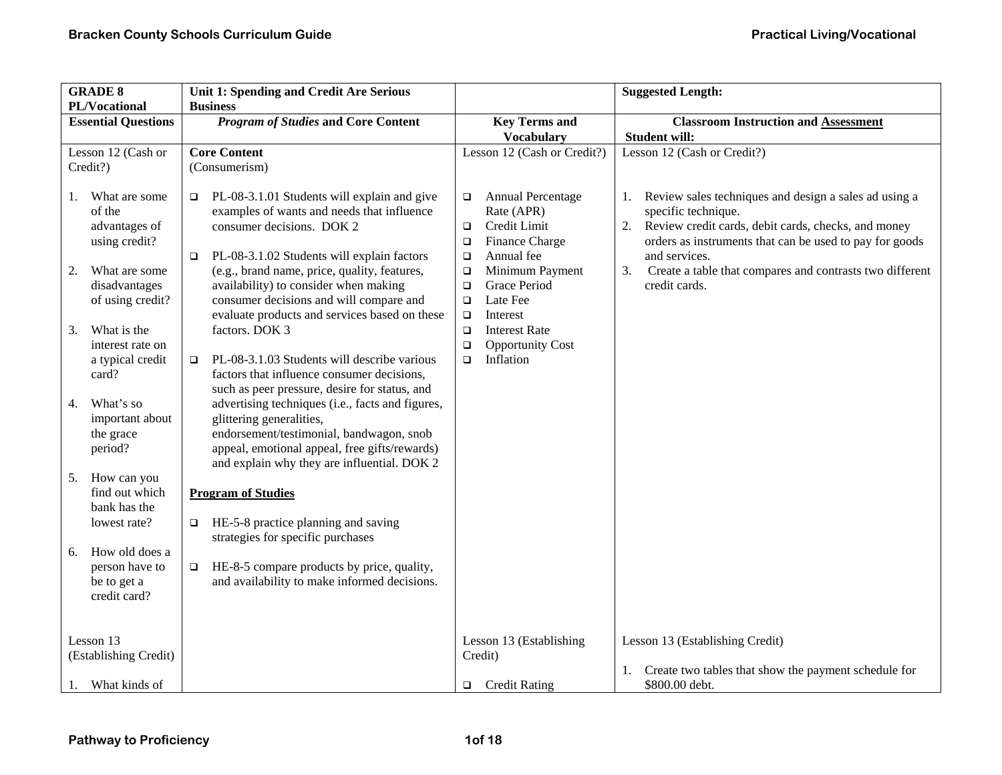| <b>GRADE 8</b><br>PL/Vocational                                       | Unit 1: Spending and Credit Are Serious<br><b>Business</b>                                                                                                                                                               |                                                                                                 | <b>Suggested Length:</b>                                                                                                                                     |
|-----------------------------------------------------------------------|--------------------------------------------------------------------------------------------------------------------------------------------------------------------------------------------------------------------------|-------------------------------------------------------------------------------------------------|--------------------------------------------------------------------------------------------------------------------------------------------------------------|
| <b>Essential Questions</b>                                            | <b>Program of Studies and Core Content</b>                                                                                                                                                                               | <b>Key Terms and</b><br><b>Vocabulary</b>                                                       | <b>Classroom Instruction and Assessment</b><br><b>Student will:</b>                                                                                          |
| Lesson 12 (Cash or<br>Credit?)<br>What are some<br>1.                 | <b>Core Content</b><br>(Consumerism)<br>PL-08-3.1.01 Students will explain and give<br>$\Box$                                                                                                                            | Lesson 12 (Cash or Credit?)<br><b>Annual Percentage</b><br>$\Box$                               | Lesson 12 (Cash or Credit?)<br>Review sales techniques and design a sales ad using a<br>1.                                                                   |
| of the<br>advantages of<br>using credit?                              | examples of wants and needs that influence<br>consumer decisions. DOK 2<br>PL-08-3.1.02 Students will explain factors<br>□                                                                                               | Rate (APR)<br>Credit Limit<br>$\Box$<br>Finance Charge<br>$\Box$<br>Annual fee<br>$\Box$        | specific technique.<br>Review credit cards, debit cards, checks, and money<br>2.<br>orders as instruments that can be used to pay for goods<br>and services. |
| What are some<br>2.<br>disadvantages<br>of using credit?              | (e.g., brand name, price, quality, features,<br>availability) to consider when making<br>consumer decisions and will compare and<br>evaluate products and services based on these                                        | Minimum Payment<br>$\Box$<br>Grace Period<br>$\Box$<br>Late Fee<br>$\Box$<br>Interest<br>$\Box$ | 3.<br>Create a table that compares and contrasts two different<br>credit cards.                                                                              |
| What is the<br>3.<br>interest rate on<br>a typical credit<br>card?    | factors. DOK 3<br>PL-08-3.1.03 Students will describe various<br>$\Box$<br>factors that influence consumer decisions,<br>such as peer pressure, desire for status, and                                                   | <b>Interest Rate</b><br>$\Box$<br><b>Opportunity Cost</b><br>$\Box$<br>Inflation<br>$\Box$      |                                                                                                                                                              |
| What's so<br>4.<br>important about<br>the grace<br>period?            | advertising techniques (i.e., facts and figures,<br>glittering generalities,<br>endorsement/testimonial, bandwagon, snob<br>appeal, emotional appeal, free gifts/rewards)<br>and explain why they are influential. DOK 2 |                                                                                                 |                                                                                                                                                              |
| How can you<br>5.<br>find out which<br>bank has the<br>lowest rate?   | <b>Program of Studies</b><br>HE-5-8 practice planning and saving<br>$\Box$                                                                                                                                               |                                                                                                 |                                                                                                                                                              |
| How old does a<br>6.<br>person have to<br>be to get a<br>credit card? | strategies for specific purchases<br>HE-8-5 compare products by price, quality,<br>$\Box$<br>and availability to make informed decisions.                                                                                |                                                                                                 |                                                                                                                                                              |
| Lesson 13<br>(Establishing Credit)                                    |                                                                                                                                                                                                                          | Lesson 13 (Establishing<br>Credit)                                                              | Lesson 13 (Establishing Credit)                                                                                                                              |
| What kinds of<br>1.                                                   |                                                                                                                                                                                                                          | <b>Credit Rating</b><br>$\Box$                                                                  | Create two tables that show the payment schedule for<br>1.<br>\$800.00 debt.                                                                                 |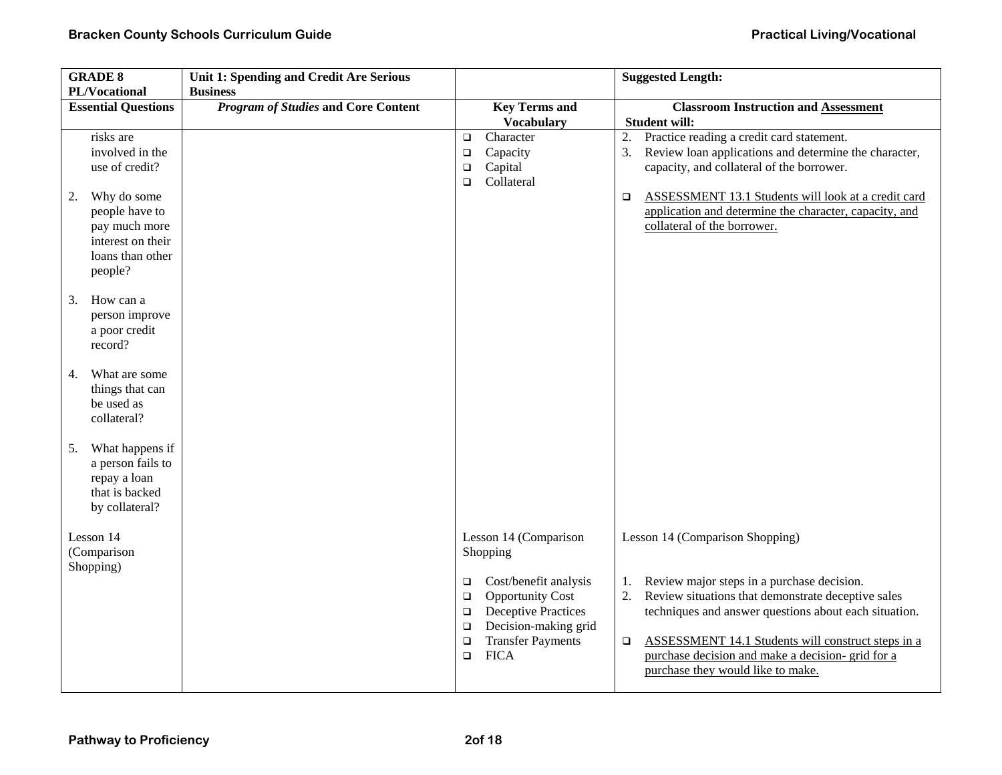| <b>GRADE 8</b><br>PL/Vocational                                                                                                                            | Unit 1: Spending and Credit Are Serious<br><b>Business</b> |                                                                                                                                                                                                                                                    | <b>Suggested Length:</b>                                                                                                                                                                                                                                                                                                                                           |
|------------------------------------------------------------------------------------------------------------------------------------------------------------|------------------------------------------------------------|----------------------------------------------------------------------------------------------------------------------------------------------------------------------------------------------------------------------------------------------------|--------------------------------------------------------------------------------------------------------------------------------------------------------------------------------------------------------------------------------------------------------------------------------------------------------------------------------------------------------------------|
| <b>Essential Questions</b>                                                                                                                                 | <b>Program of Studies and Core Content</b>                 | <b>Key Terms and</b><br><b>Vocabulary</b>                                                                                                                                                                                                          | <b>Classroom Instruction and Assessment</b><br><b>Student will:</b>                                                                                                                                                                                                                                                                                                |
| risks are<br>involved in the<br>use of credit?<br>Why do some<br>2.<br>people have to<br>pay much more<br>interest on their<br>loans than other<br>people? |                                                            | Character<br>$\Box$<br>Capacity<br>$\Box$<br>Capital<br>$\Box$<br>Collateral<br>$\Box$                                                                                                                                                             | Practice reading a credit card statement.<br>2.<br>Review loan applications and determine the character,<br>3.<br>capacity, and collateral of the borrower.<br><b>ASSESSMENT 13.1 Students will look at a credit card</b><br>$\Box$<br>application and determine the character, capacity, and<br>collateral of the borrower.                                       |
| How can a<br>3.<br>person improve<br>a poor credit<br>record?                                                                                              |                                                            |                                                                                                                                                                                                                                                    |                                                                                                                                                                                                                                                                                                                                                                    |
| What are some<br>4.<br>things that can<br>be used as<br>collateral?                                                                                        |                                                            |                                                                                                                                                                                                                                                    |                                                                                                                                                                                                                                                                                                                                                                    |
| What happens if<br>5.<br>a person fails to<br>repay a loan<br>that is backed<br>by collateral?                                                             |                                                            |                                                                                                                                                                                                                                                    |                                                                                                                                                                                                                                                                                                                                                                    |
| Lesson 14<br>(Comparison<br>Shopping)                                                                                                                      |                                                            | Lesson 14 (Comparison<br>Shopping<br>Cost/benefit analysis<br>$\Box$<br><b>Opportunity Cost</b><br>$\Box$<br><b>Deceptive Practices</b><br>$\Box$<br>Decision-making grid<br>$\Box$<br><b>Transfer Payments</b><br>$\Box$<br><b>FICA</b><br>$\Box$ | Lesson 14 (Comparison Shopping)<br>Review major steps in a purchase decision.<br>1.<br>Review situations that demonstrate deceptive sales<br>2.<br>techniques and answer questions about each situation.<br>ASSESSMENT 14.1 Students will construct steps in a<br>$\Box$<br>purchase decision and make a decision- grid for a<br>purchase they would like to make. |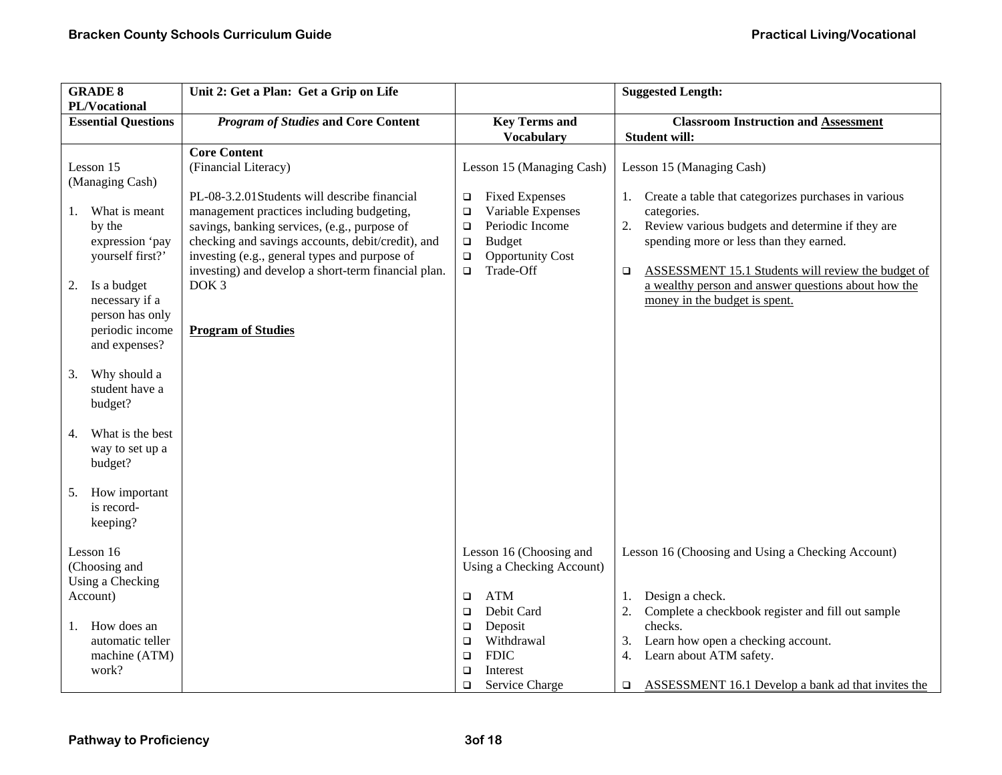| <b>GRADE 8</b><br>PL/Vocational                                                                                                                                                                    | Unit 2: Get a Plan: Get a Grip on Life                                                                                                                                                                                                                                                                                                                                                                 |                                                                                                                                                                                                                 | <b>Suggested Length:</b>                                                                                                                                                                                                                                                                                                                                      |
|----------------------------------------------------------------------------------------------------------------------------------------------------------------------------------------------------|--------------------------------------------------------------------------------------------------------------------------------------------------------------------------------------------------------------------------------------------------------------------------------------------------------------------------------------------------------------------------------------------------------|-----------------------------------------------------------------------------------------------------------------------------------------------------------------------------------------------------------------|---------------------------------------------------------------------------------------------------------------------------------------------------------------------------------------------------------------------------------------------------------------------------------------------------------------------------------------------------------------|
| <b>Essential Questions</b>                                                                                                                                                                         | <b>Program of Studies and Core Content</b>                                                                                                                                                                                                                                                                                                                                                             | <b>Key Terms and</b><br><b>Vocabulary</b>                                                                                                                                                                       | <b>Classroom Instruction and Assessment</b><br><b>Student will:</b>                                                                                                                                                                                                                                                                                           |
| Lesson 15<br>(Managing Cash)<br>What is meant<br>1.<br>by the<br>expression 'pay<br>yourself first?'<br>Is a budget<br>2.<br>necessary if a<br>person has only<br>periodic income<br>and expenses? | <b>Core Content</b><br>(Financial Literacy)<br>PL-08-3.2.01Students will describe financial<br>management practices including budgeting,<br>savings, banking services, (e.g., purpose of<br>checking and savings accounts, debit/credit), and<br>investing (e.g., general types and purpose of<br>investing) and develop a short-term financial plan.<br>DOK <sub>3</sub><br><b>Program of Studies</b> | Lesson 15 (Managing Cash)<br><b>Fixed Expenses</b><br>$\Box$<br>Variable Expenses<br>$\Box$<br>Periodic Income<br>$\Box$<br><b>Budget</b><br>$\Box$<br>$\Box$<br><b>Opportunity Cost</b><br>Trade-Off<br>$\Box$ | Lesson 15 (Managing Cash)<br>1. Create a table that categorizes purchases in various<br>categories.<br>2. Review various budgets and determine if they are<br>spending more or less than they earned.<br>ASSESSMENT 15.1 Students will review the budget of<br>$\Box$<br>a wealthy person and answer questions about how the<br>money in the budget is spent. |
| Why should a<br>3.<br>student have a<br>budget?                                                                                                                                                    |                                                                                                                                                                                                                                                                                                                                                                                                        |                                                                                                                                                                                                                 |                                                                                                                                                                                                                                                                                                                                                               |
| What is the best<br>4.<br>way to set up a<br>budget?                                                                                                                                               |                                                                                                                                                                                                                                                                                                                                                                                                        |                                                                                                                                                                                                                 |                                                                                                                                                                                                                                                                                                                                                               |
| How important<br>5.<br>is record-<br>keeping?                                                                                                                                                      |                                                                                                                                                                                                                                                                                                                                                                                                        |                                                                                                                                                                                                                 |                                                                                                                                                                                                                                                                                                                                                               |
| Lesson 16<br>(Choosing and<br>Using a Checking<br>Account)                                                                                                                                         |                                                                                                                                                                                                                                                                                                                                                                                                        | Lesson 16 (Choosing and<br>Using a Checking Account)<br><b>ATM</b><br>$\Box$<br>Debit Card<br>$\Box$                                                                                                            | Lesson 16 (Choosing and Using a Checking Account)<br>Design a check.<br>1.<br>2.<br>Complete a checkbook register and fill out sample                                                                                                                                                                                                                         |
| How does an<br>1.<br>automatic teller<br>machine (ATM)<br>work?                                                                                                                                    |                                                                                                                                                                                                                                                                                                                                                                                                        | Deposit<br>$\Box$<br>Withdrawal<br>$\Box$<br><b>FDIC</b><br>$\Box$<br>Interest<br>$\Box$<br>Service Charge<br>$\Box$                                                                                            | checks.<br>Learn how open a checking account.<br>3.<br>Learn about ATM safety.<br>4.<br>ASSESSMENT 16.1 Develop a bank ad that invites the<br>$\Box$                                                                                                                                                                                                          |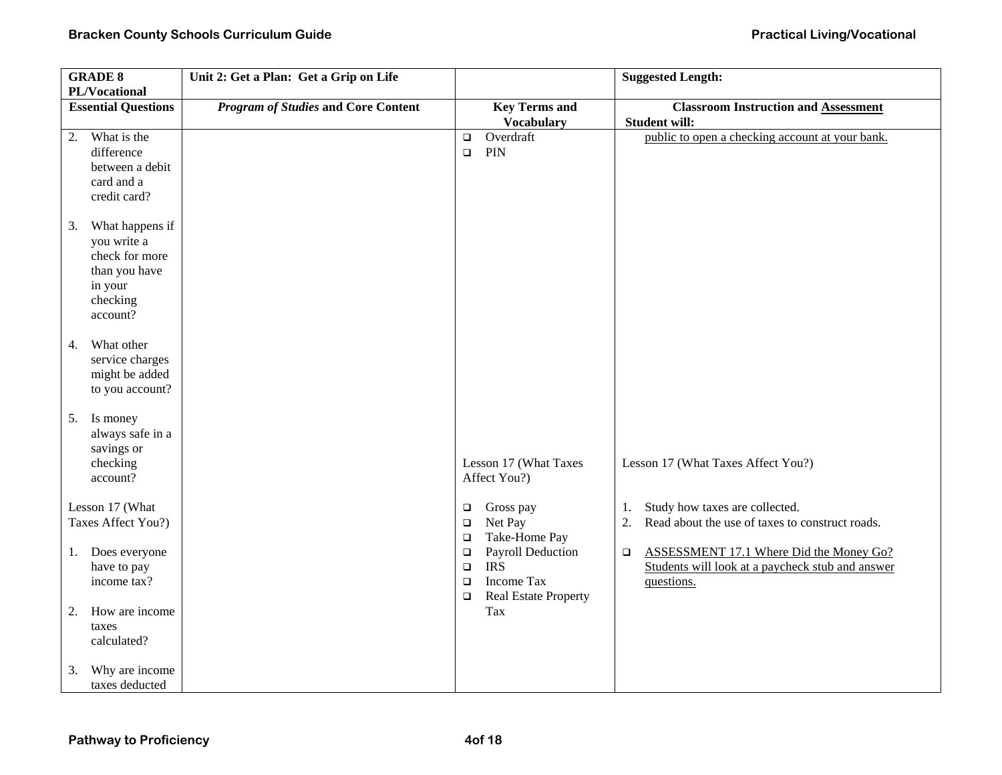| <b>GRADE 8</b>             | Unit 2: Get a Plan: Get a Grip on Life     |                                           | <b>Suggested Length:</b>                                            |
|----------------------------|--------------------------------------------|-------------------------------------------|---------------------------------------------------------------------|
| PL/Vocational              |                                            |                                           |                                                                     |
| <b>Essential Questions</b> | <b>Program of Studies and Core Content</b> | <b>Key Terms and</b><br><b>Vocabulary</b> | <b>Classroom Instruction and Assessment</b><br><b>Student will:</b> |
| What is the<br>2.          |                                            | Overdraft<br>$\Box$                       | public to open a checking account at your bank.                     |
| difference                 |                                            | PIN<br>$\Box$                             |                                                                     |
| between a debit            |                                            |                                           |                                                                     |
| card and a                 |                                            |                                           |                                                                     |
| credit card?               |                                            |                                           |                                                                     |
|                            |                                            |                                           |                                                                     |
| What happens if<br>3.      |                                            |                                           |                                                                     |
| you write a                |                                            |                                           |                                                                     |
| check for more             |                                            |                                           |                                                                     |
| than you have              |                                            |                                           |                                                                     |
| in your                    |                                            |                                           |                                                                     |
| checking                   |                                            |                                           |                                                                     |
| account?                   |                                            |                                           |                                                                     |
| What other<br>4.           |                                            |                                           |                                                                     |
| service charges            |                                            |                                           |                                                                     |
| might be added             |                                            |                                           |                                                                     |
| to you account?            |                                            |                                           |                                                                     |
|                            |                                            |                                           |                                                                     |
| Is money<br>5.             |                                            |                                           |                                                                     |
| always safe in a           |                                            |                                           |                                                                     |
| savings or                 |                                            |                                           |                                                                     |
| checking                   |                                            | Lesson 17 (What Taxes                     | Lesson 17 (What Taxes Affect You?)                                  |
| account?                   |                                            | Affect You?)                              |                                                                     |
| Lesson 17 (What            |                                            | Gross pay                                 | Study how taxes are collected.<br>1.                                |
| Taxes Affect You?)         |                                            | $\Box$<br>Net Pay<br>$\Box$               | Read about the use of taxes to construct roads.<br>2.               |
|                            |                                            | Take-Home Pay<br>$\Box$                   |                                                                     |
| Does everyone<br>1.        |                                            | Payroll Deduction<br>$\Box$               | ASSESSMENT 17.1 Where Did the Money Go?<br>$\Box$                   |
| have to pay                |                                            | <b>IRS</b><br>$\Box$                      | Students will look at a paycheck stub and answer                    |
| income tax?                |                                            | Income Tax<br>$\Box$                      | questions.                                                          |
|                            |                                            | <b>Real Estate Property</b><br>$\Box$     |                                                                     |
| How are income<br>2.       |                                            | Tax                                       |                                                                     |
| taxes                      |                                            |                                           |                                                                     |
| calculated?                |                                            |                                           |                                                                     |
|                            |                                            |                                           |                                                                     |
| Why are income<br>3.       |                                            |                                           |                                                                     |
| taxes deducted             |                                            |                                           |                                                                     |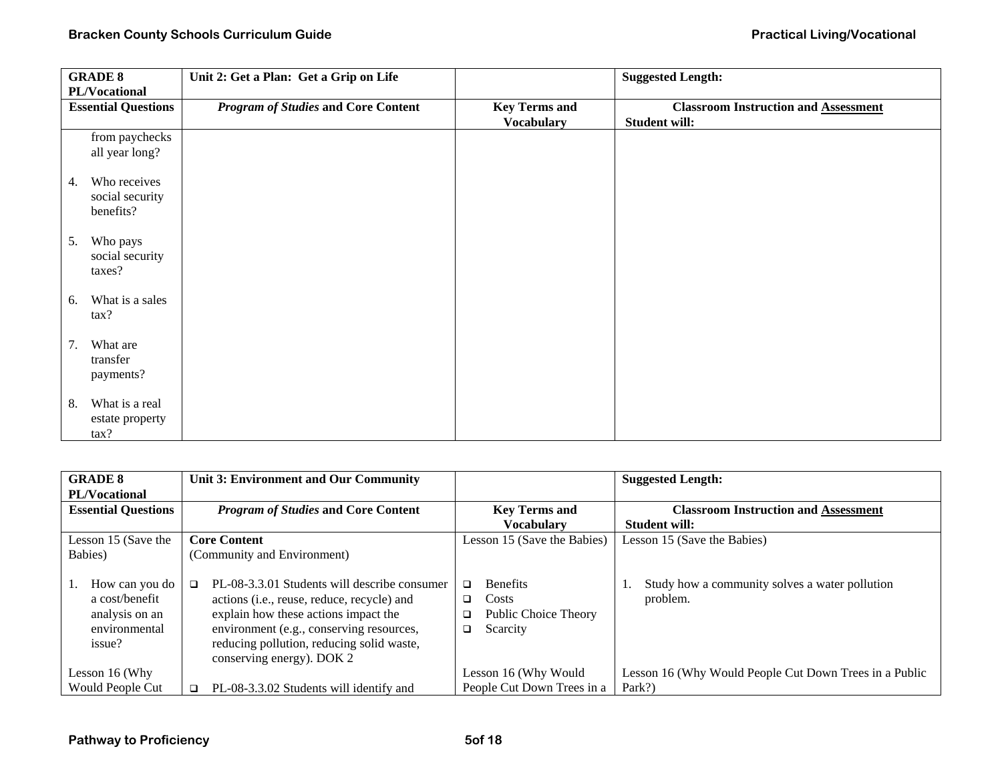| <b>GRADE 8</b>             | Unit 2: Get a Plan: Get a Grip on Life     |                      | <b>Suggested Length:</b>                    |
|----------------------------|--------------------------------------------|----------------------|---------------------------------------------|
| PL/Vocational              |                                            |                      |                                             |
| <b>Essential Questions</b> | <b>Program of Studies and Core Content</b> | <b>Key Terms and</b> | <b>Classroom Instruction and Assessment</b> |
|                            |                                            | <b>Vocabulary</b>    | <b>Student will:</b>                        |
| from paychecks             |                                            |                      |                                             |
| all year long?             |                                            |                      |                                             |
| Who receives<br>4.         |                                            |                      |                                             |
| social security            |                                            |                      |                                             |
| benefits?                  |                                            |                      |                                             |
|                            |                                            |                      |                                             |
| Who pays<br>5.             |                                            |                      |                                             |
| social security            |                                            |                      |                                             |
| taxes?                     |                                            |                      |                                             |
|                            |                                            |                      |                                             |
| What is a sales<br>6.      |                                            |                      |                                             |
| tax?                       |                                            |                      |                                             |
| What are<br>7.             |                                            |                      |                                             |
| transfer                   |                                            |                      |                                             |
| payments?                  |                                            |                      |                                             |
|                            |                                            |                      |                                             |
| What is a real<br>8.       |                                            |                      |                                             |
| estate property            |                                            |                      |                                             |
| tax?                       |                                            |                      |                                             |

| <b>GRADE 8</b>                                                                | Unit 3: Environment and Our Community                                                                                                                                                                                                                                       |                                                                                  | <b>Suggested Length:</b>                                   |
|-------------------------------------------------------------------------------|-----------------------------------------------------------------------------------------------------------------------------------------------------------------------------------------------------------------------------------------------------------------------------|----------------------------------------------------------------------------------|------------------------------------------------------------|
| <b>PL/Vocational</b>                                                          |                                                                                                                                                                                                                                                                             |                                                                                  |                                                            |
| <b>Essential Questions</b>                                                    | <b>Program of Studies and Core Content</b>                                                                                                                                                                                                                                  | <b>Key Terms and</b>                                                             | <b>Classroom Instruction and Assessment</b>                |
|                                                                               |                                                                                                                                                                                                                                                                             | <b>Vocabulary</b>                                                                | <b>Student will:</b>                                       |
| Lesson 15 (Save the                                                           | <b>Core Content</b>                                                                                                                                                                                                                                                         | Lesson 15 (Save the Babies)                                                      | Lesson 15 (Save the Babies)                                |
| Babies)                                                                       | (Community and Environment)                                                                                                                                                                                                                                                 |                                                                                  |                                                            |
| How can you do<br>a cost/benefit<br>analysis on an<br>environmental<br>issue? | PL-08-3.3.01 Students will describe consumer<br>$\Box$<br>actions ( <i>i.e.</i> , reuse, reduce, recycle) and<br>explain how these actions impact the<br>environment (e.g., conserving resources,<br>reducing pollution, reducing solid waste,<br>conserving energy). DOK 2 | <b>Benefits</b><br>□<br>Costs<br>□<br>Public Choice Theory<br>❏<br>Scarcity<br>□ | Study how a community solves a water pollution<br>problem. |
| Lesson 16 (Why                                                                |                                                                                                                                                                                                                                                                             | Lesson 16 (Why Would                                                             | Lesson 16 (Why Would People Cut Down Trees in a Public     |
| <b>Would People Cut</b>                                                       | PL-08-3.3.02 Students will identify and<br>◻                                                                                                                                                                                                                                | People Cut Down Trees in a                                                       | Park?)                                                     |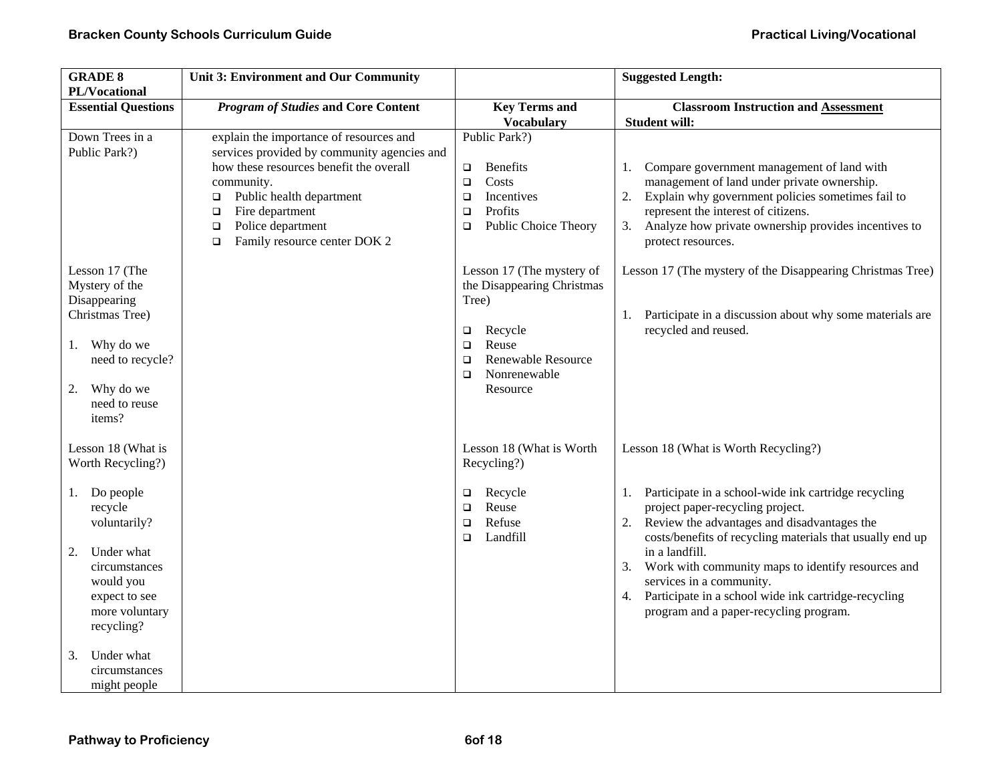| <b>GRADE 8</b><br>PL/Vocational                                                                                                                          | <b>Unit 3: Environment and Our Community</b>                                                                                                                                                                                                                                                |                                                                                                                                                                      | <b>Suggested Length:</b>                                                                                                                                                                                                                                                                                                                                                                                                        |
|----------------------------------------------------------------------------------------------------------------------------------------------------------|---------------------------------------------------------------------------------------------------------------------------------------------------------------------------------------------------------------------------------------------------------------------------------------------|----------------------------------------------------------------------------------------------------------------------------------------------------------------------|---------------------------------------------------------------------------------------------------------------------------------------------------------------------------------------------------------------------------------------------------------------------------------------------------------------------------------------------------------------------------------------------------------------------------------|
| <b>Essential Questions</b>                                                                                                                               | <b>Program of Studies and Core Content</b>                                                                                                                                                                                                                                                  | <b>Key Terms and</b><br><b>Vocabulary</b>                                                                                                                            | <b>Classroom Instruction and Assessment</b><br><b>Student will:</b>                                                                                                                                                                                                                                                                                                                                                             |
| Down Trees in a<br>Public Park?)                                                                                                                         | explain the importance of resources and<br>services provided by community agencies and<br>how these resources benefit the overall<br>community.<br>Public health department<br>$\Box$<br>Fire department<br>$\Box$<br>Police department<br>$\Box$<br>Family resource center DOK 2<br>$\Box$ | Public Park?)<br><b>Benefits</b><br>$\Box$<br>Costs<br>$\Box$<br>Incentives<br>$\Box$<br>Profits<br>$\Box$<br>Public Choice Theory<br>$\Box$                         | Compare government management of land with<br>1.<br>management of land under private ownership.<br>2.<br>Explain why government policies sometimes fail to<br>represent the interest of citizens.<br>Analyze how private ownership provides incentives to<br>3.<br>protect resources.                                                                                                                                           |
| Lesson 17 (The<br>Mystery of the<br>Disappearing<br>Christmas Tree)<br>Why do we<br>1.<br>need to recycle?<br>Why do we<br>2.<br>need to reuse<br>items? |                                                                                                                                                                                                                                                                                             | Lesson 17 (The mystery of<br>the Disappearing Christmas<br>Tree)<br>Recycle<br>$\Box$<br>Reuse<br>$\Box$<br>Renewable Resource<br>□<br>Nonrenewable<br>□<br>Resource | Lesson 17 (The mystery of the Disappearing Christmas Tree)<br>1. Participate in a discussion about why some materials are<br>recycled and reused.                                                                                                                                                                                                                                                                               |
| Lesson 18 (What is<br>Worth Recycling?)                                                                                                                  |                                                                                                                                                                                                                                                                                             | Lesson 18 (What is Worth<br>Recycling?)                                                                                                                              | Lesson 18 (What is Worth Recycling?)                                                                                                                                                                                                                                                                                                                                                                                            |
| 1. Do people<br>recycle<br>voluntarily?<br>Under what<br>2.<br>circumstances<br>would you<br>expect to see<br>more voluntary<br>recycling?               |                                                                                                                                                                                                                                                                                             | Recycle<br>□<br>Reuse<br>$\Box$<br>Refuse<br>$\Box$<br>Landfill<br>$\Box$                                                                                            | Participate in a school-wide ink cartridge recycling<br>1.<br>project paper-recycling project.<br>Review the advantages and disadvantages the<br>2.<br>costs/benefits of recycling materials that usually end up<br>in a landfill.<br>3. Work with community maps to identify resources and<br>services in a community.<br>Participate in a school wide ink cartridge-recycling<br>4.<br>program and a paper-recycling program. |
| Under what<br>3.<br>circumstances<br>might people                                                                                                        |                                                                                                                                                                                                                                                                                             |                                                                                                                                                                      |                                                                                                                                                                                                                                                                                                                                                                                                                                 |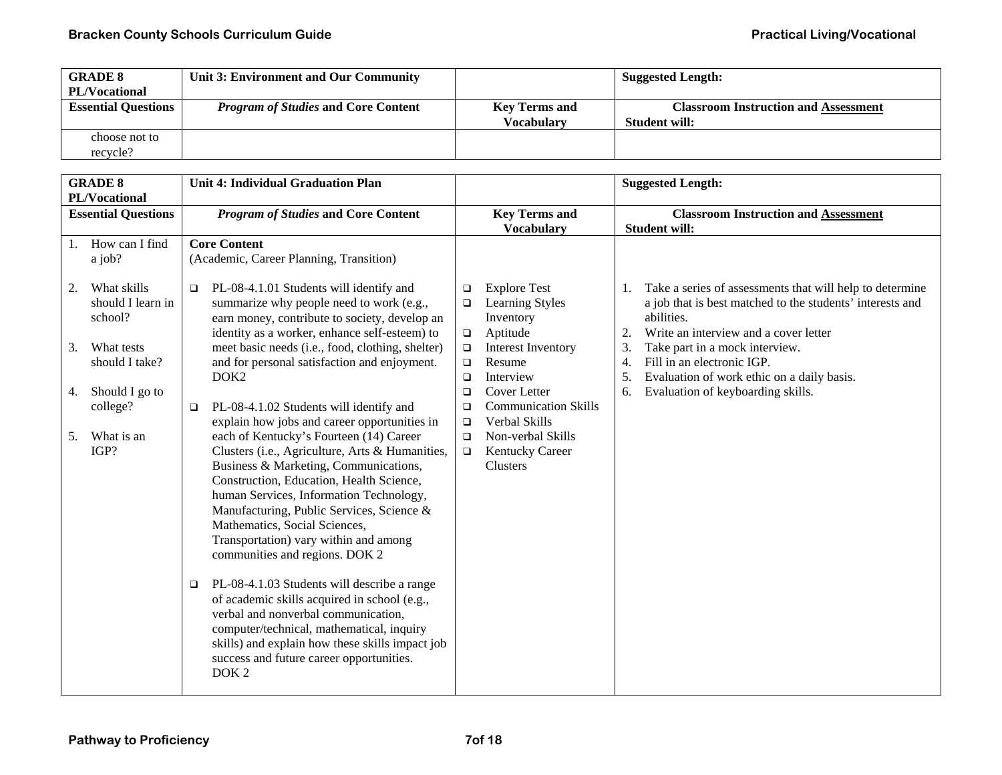| <b>GRADE 8</b>             | Unit 3: Environment and Our Community      |                      | <b>Suggested Length:</b>                    |
|----------------------------|--------------------------------------------|----------------------|---------------------------------------------|
| <b>PL/Vocational</b>       |                                            |                      |                                             |
| <b>Essential Questions</b> | <b>Program of Studies and Core Content</b> | <b>Key Terms and</b> | <b>Classroom Instruction and Assessment</b> |
|                            |                                            | Vocabularv           | <b>Student will:</b>                        |
| choose not to              |                                            |                      |                                             |
| recycle?                   |                                            |                      |                                             |

|                      | <b>GRADE 8</b><br>PL/Vocational                                                                                                       | <b>Unit 4: Individual Graduation Plan</b>                                                                                                                                                                                                                                                                                                                                                                                                                                                                                                                                                                                                                                                           |                                                                                        |                                                                                                                                                                                     |                                  | <b>Suggested Length:</b>                                                                                                                                                                                                                                                                                                        |
|----------------------|---------------------------------------------------------------------------------------------------------------------------------------|-----------------------------------------------------------------------------------------------------------------------------------------------------------------------------------------------------------------------------------------------------------------------------------------------------------------------------------------------------------------------------------------------------------------------------------------------------------------------------------------------------------------------------------------------------------------------------------------------------------------------------------------------------------------------------------------------------|----------------------------------------------------------------------------------------|-------------------------------------------------------------------------------------------------------------------------------------------------------------------------------------|----------------------------------|---------------------------------------------------------------------------------------------------------------------------------------------------------------------------------------------------------------------------------------------------------------------------------------------------------------------------------|
|                      | <b>Essential Questions</b>                                                                                                            | <b>Program of Studies and Core Content</b>                                                                                                                                                                                                                                                                                                                                                                                                                                                                                                                                                                                                                                                          |                                                                                        | <b>Key Terms and</b><br><b>Vocabulary</b>                                                                                                                                           |                                  | <b>Classroom Instruction and Assessment</b><br><b>Student will:</b>                                                                                                                                                                                                                                                             |
| 1.<br>2.<br>3.<br>4. | How can I find<br>a job?<br>What skills<br>should I learn in<br>school?<br>What tests<br>should I take?<br>Should I go to<br>college? | <b>Core Content</b><br>(Academic, Career Planning, Transition)<br>PL-08-4.1.01 Students will identify and<br>$\Box$<br>summarize why people need to work (e.g.,<br>earn money, contribute to society, develop an<br>identity as a worker, enhance self-esteem) to<br>meet basic needs (i.e., food, clothing, shelter)<br>and for personal satisfaction and enjoyment.<br>DOK <sub>2</sub><br>PL-08-4.1.02 Students will identify and<br>$\Box$<br>explain how jobs and career opportunities in                                                                                                                                                                                                      | $\Box$<br>$\Box$<br>$\Box$<br>$\Box$<br>$\Box$<br>$\Box$<br>$\Box$<br>$\Box$<br>$\Box$ | <b>Explore Test</b><br>Learning Styles<br>Inventory<br>Aptitude<br>Interest Inventory<br>Resume<br>Interview<br><b>Cover Letter</b><br><b>Communication Skills</b><br>Verbal Skills | 1.<br>2.<br>3.<br>4.<br>5.<br>6. | Take a series of assessments that will help to determine<br>a job that is best matched to the students' interests and<br>abilities.<br>Write an interview and a cover letter<br>Take part in a mock interview.<br>Fill in an electronic IGP.<br>Evaluation of work ethic on a daily basis.<br>Evaluation of keyboarding skills. |
| 5.                   | What is an<br>IGP?                                                                                                                    | each of Kentucky's Fourteen (14) Career<br>Clusters (i.e., Agriculture, Arts & Humanities,<br>Business & Marketing, Communications,<br>Construction, Education, Health Science,<br>human Services, Information Technology,<br>Manufacturing, Public Services, Science &<br>Mathematics, Social Sciences,<br>Transportation) vary within and among<br>communities and regions. DOK 2<br>PL-08-4.1.03 Students will describe a range<br>$\Box$<br>of academic skills acquired in school (e.g.,<br>verbal and nonverbal communication,<br>computer/technical, mathematical, inquiry<br>skills) and explain how these skills impact job<br>success and future career opportunities.<br>DOK <sub>2</sub> | $\Box$<br>$\Box$                                                                       | Non-verbal Skills<br>Kentucky Career<br>Clusters                                                                                                                                    |                                  |                                                                                                                                                                                                                                                                                                                                 |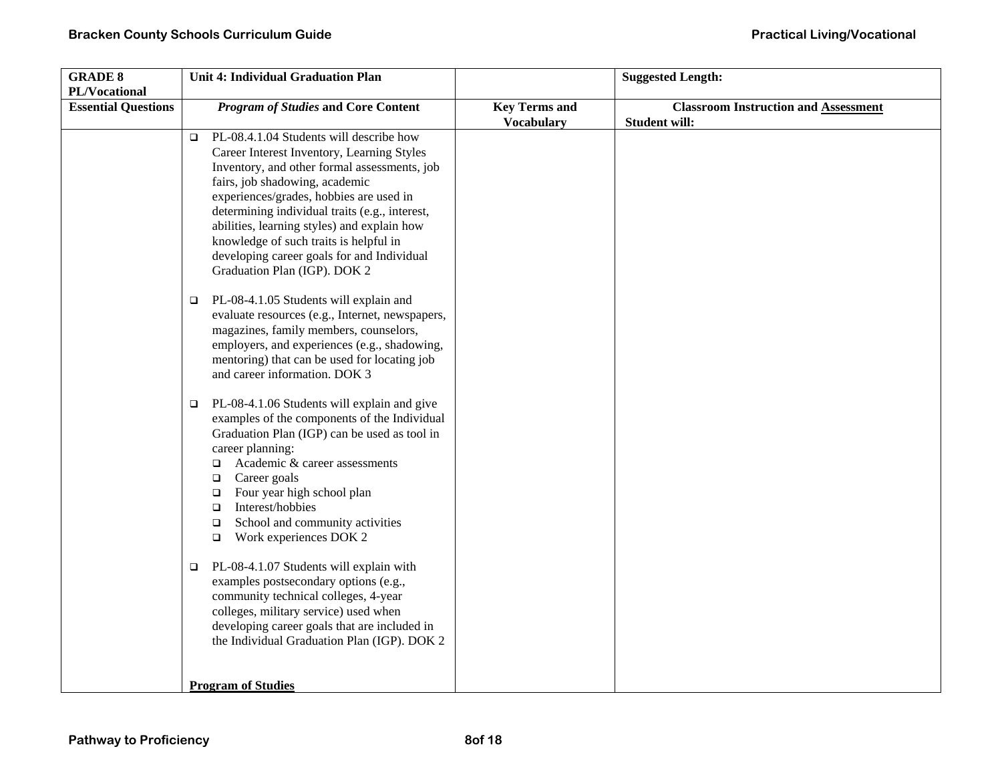| <b>GRADE 8</b>             | Unit 4: Individual Graduation Plan                    |                      | <b>Suggested Length:</b>                    |
|----------------------------|-------------------------------------------------------|----------------------|---------------------------------------------|
| PL/Vocational              |                                                       |                      |                                             |
| <b>Essential Questions</b> | <b>Program of Studies and Core Content</b>            | <b>Key Terms and</b> | <b>Classroom Instruction and Assessment</b> |
|                            |                                                       | <b>Vocabulary</b>    | <b>Student will:</b>                        |
|                            | PL-08.4.1.04 Students will describe how<br>$\Box$     |                      |                                             |
|                            | Career Interest Inventory, Learning Styles            |                      |                                             |
|                            | Inventory, and other formal assessments, job          |                      |                                             |
|                            | fairs, job shadowing, academic                        |                      |                                             |
|                            | experiences/grades, hobbies are used in               |                      |                                             |
|                            | determining individual traits (e.g., interest,        |                      |                                             |
|                            | abilities, learning styles) and explain how           |                      |                                             |
|                            | knowledge of such traits is helpful in                |                      |                                             |
|                            | developing career goals for and Individual            |                      |                                             |
|                            | Graduation Plan (IGP). DOK 2                          |                      |                                             |
|                            |                                                       |                      |                                             |
|                            | PL-08-4.1.05 Students will explain and<br>$\Box$      |                      |                                             |
|                            | evaluate resources (e.g., Internet, newspapers,       |                      |                                             |
|                            | magazines, family members, counselors,                |                      |                                             |
|                            | employers, and experiences (e.g., shadowing,          |                      |                                             |
|                            | mentoring) that can be used for locating job          |                      |                                             |
|                            | and career information. DOK 3                         |                      |                                             |
|                            |                                                       |                      |                                             |
|                            | PL-08-4.1.06 Students will explain and give<br>$\Box$ |                      |                                             |
|                            | examples of the components of the Individual          |                      |                                             |
|                            | Graduation Plan (IGP) can be used as tool in          |                      |                                             |
|                            | career planning:                                      |                      |                                             |
|                            | Academic & career assessments<br>$\Box$               |                      |                                             |
|                            | Career goals<br>$\Box$                                |                      |                                             |
|                            | Four year high school plan<br>$\Box$                  |                      |                                             |
|                            | Interest/hobbies<br>$\Box$                            |                      |                                             |
|                            | School and community activities<br>$\Box$             |                      |                                             |
|                            | Work experiences DOK 2<br>$\Box$                      |                      |                                             |
|                            |                                                       |                      |                                             |
|                            | PL-08-4.1.07 Students will explain with<br>$\Box$     |                      |                                             |
|                            | examples postsecondary options (e.g.,                 |                      |                                             |
|                            | community technical colleges, 4-year                  |                      |                                             |
|                            | colleges, military service) used when                 |                      |                                             |
|                            | developing career goals that are included in          |                      |                                             |
|                            | the Individual Graduation Plan (IGP). DOK 2           |                      |                                             |
|                            |                                                       |                      |                                             |
|                            |                                                       |                      |                                             |
|                            | <b>Program of Studies</b>                             |                      |                                             |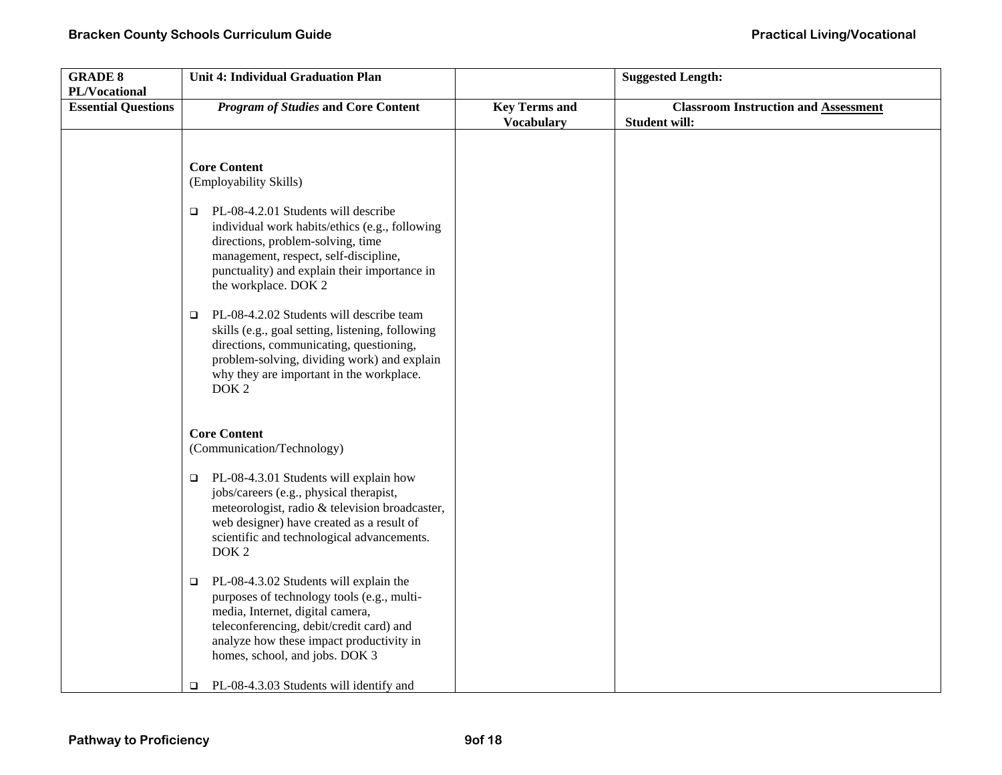| <b>GRADE 8</b>                              | Unit 4: Individual Graduation Plan                                                                                                                                                                                                                               |                      | <b>Suggested Length:</b>                    |
|---------------------------------------------|------------------------------------------------------------------------------------------------------------------------------------------------------------------------------------------------------------------------------------------------------------------|----------------------|---------------------------------------------|
| PL/Vocational<br><b>Essential Questions</b> | <b>Program of Studies and Core Content</b>                                                                                                                                                                                                                       | <b>Key Terms and</b> | <b>Classroom Instruction and Assessment</b> |
|                                             |                                                                                                                                                                                                                                                                  | <b>Vocabulary</b>    | <b>Student will:</b>                        |
|                                             |                                                                                                                                                                                                                                                                  |                      |                                             |
|                                             |                                                                                                                                                                                                                                                                  |                      |                                             |
|                                             | <b>Core Content</b><br>(Employability Skills)                                                                                                                                                                                                                    |                      |                                             |
|                                             |                                                                                                                                                                                                                                                                  |                      |                                             |
|                                             | PL-08-4.2.01 Students will describe<br>□<br>individual work habits/ethics (e.g., following<br>directions, problem-solving, time<br>management, respect, self-discipline,<br>punctuality) and explain their importance in<br>the workplace. DOK 2                 |                      |                                             |
|                                             | PL-08-4.2.02 Students will describe team<br>$\Box$<br>skills (e.g., goal setting, listening, following<br>directions, communicating, questioning,<br>problem-solving, dividing work) and explain<br>why they are important in the workplace.<br>DOK <sub>2</sub> |                      |                                             |
|                                             | <b>Core Content</b><br>(Communication/Technology)                                                                                                                                                                                                                |                      |                                             |
|                                             | PL-08-4.3.01 Students will explain how<br>$\Box$<br>jobs/careers (e.g., physical therapist,<br>meteorologist, radio & television broadcaster,<br>web designer) have created as a result of<br>scientific and technological advancements.<br>DOK <sub>2</sub>     |                      |                                             |
|                                             | PL-08-4.3.02 Students will explain the<br>$\Box$<br>purposes of technology tools (e.g., multi-<br>media, Internet, digital camera,<br>teleconferencing, debit/credit card) and<br>analyze how these impact productivity in<br>homes, school, and jobs. DOK 3     |                      |                                             |
|                                             | PL-08-4.3.03 Students will identify and<br>O.                                                                                                                                                                                                                    |                      |                                             |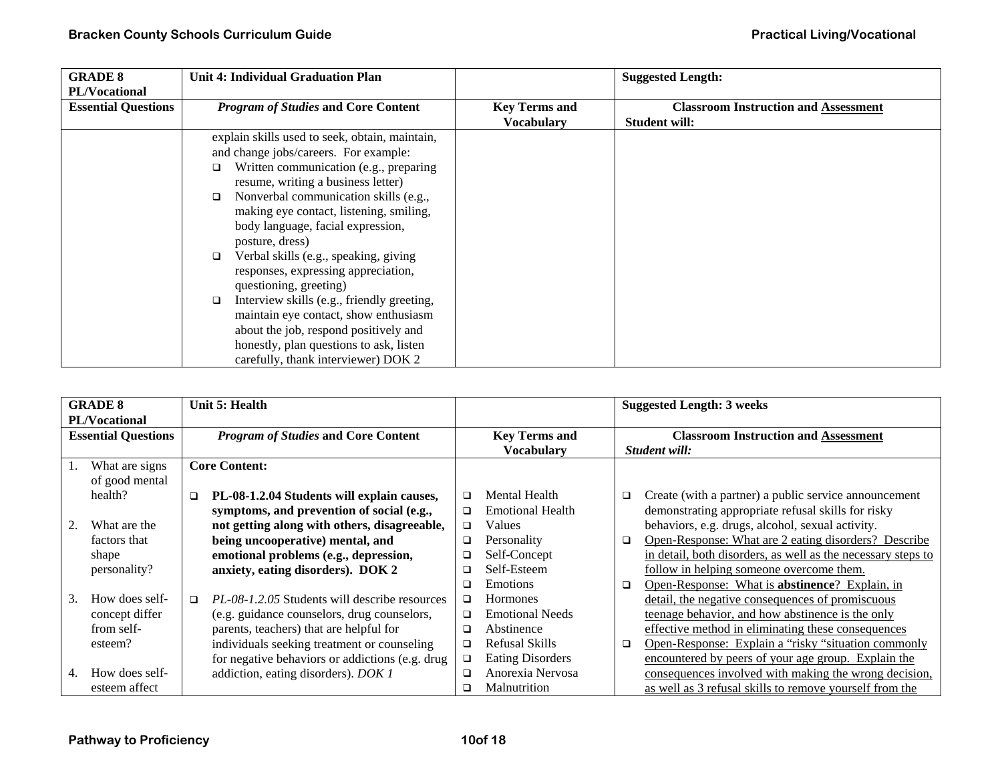| <b>GRADE 8</b>             | <b>Unit 4: Individual Graduation Plan</b>            |                      | <b>Suggested Length:</b>                    |
|----------------------------|------------------------------------------------------|----------------------|---------------------------------------------|
| PL/Vocational              |                                                      |                      |                                             |
| <b>Essential Questions</b> | <b>Program of Studies and Core Content</b>           | <b>Key Terms and</b> | <b>Classroom Instruction and Assessment</b> |
|                            |                                                      | <b>Vocabulary</b>    | <b>Student will:</b>                        |
|                            | explain skills used to seek, obtain, maintain,       |                      |                                             |
|                            | and change jobs/careers. For example:                |                      |                                             |
|                            | Written communication (e.g., preparing<br>□          |                      |                                             |
|                            | resume, writing a business letter)                   |                      |                                             |
|                            | Nonverbal communication skills (e.g.,<br>$\Box$      |                      |                                             |
|                            | making eye contact, listening, smiling,              |                      |                                             |
|                            | body language, facial expression,                    |                      |                                             |
|                            | posture, dress)                                      |                      |                                             |
|                            | Verbal skills (e.g., speaking, giving<br>□           |                      |                                             |
|                            | responses, expressing appreciation,                  |                      |                                             |
|                            | questioning, greeting)                               |                      |                                             |
|                            | Interview skills (e.g., friendly greeting,<br>$\Box$ |                      |                                             |
|                            | maintain eye contact, show enthusiasm                |                      |                                             |
|                            | about the job, respond positively and                |                      |                                             |
|                            | honestly, plan questions to ask, listen              |                      |                                             |
|                            | carefully, thank interviewer) DOK 2                  |                      |                                             |

| <b>GRADE 8</b>         |                            |        | Unit 5: Health                                       |                      |                         |               | <b>Suggested Length: 3 weeks</b>                             |
|------------------------|----------------------------|--------|------------------------------------------------------|----------------------|-------------------------|---------------|--------------------------------------------------------------|
|                        | <b>PL/Vocational</b>       |        |                                                      |                      |                         |               |                                                              |
|                        | <b>Essential Questions</b> |        | <b>Program of Studies and Core Content</b>           | <b>Key Terms and</b> |                         |               | <b>Classroom Instruction and Assessment</b>                  |
|                        |                            |        |                                                      |                      | <b>Vocabulary</b>       | Student will: |                                                              |
| 1.                     | What are signs             |        | <b>Core Content:</b>                                 |                      |                         |               |                                                              |
|                        | of good mental             |        |                                                      |                      |                         |               |                                                              |
|                        | health?                    | $\Box$ | PL-08-1.2.04 Students will explain causes,           | □                    | Mental Health           | □             | Create (with a partner) a public service announcement        |
|                        |                            |        | symptoms, and prevention of social (e.g.,            | ◻                    | <b>Emotional Health</b> |               | demonstrating appropriate refusal skills for risky           |
| 2.                     | What are the               |        | not getting along with others, disagreeable,         | □                    | Values                  |               | behaviors, e.g. drugs, alcohol, sexual activity.             |
|                        | factors that               |        | being uncooperative) mental, and                     | $\Box$               | Personality             | ▫             | Open-Response: What are 2 eating disorders? Describe         |
|                        | shape                      |        | emotional problems (e.g., depression,                | □                    | Self-Concept            |               | in detail, both disorders, as well as the necessary steps to |
|                        | personality?               |        | anxiety, eating disorders). DOK 2                    | □                    | Self-Esteem             |               | follow in helping someone overcome them.                     |
|                        |                            |        |                                                      | ◻                    | <b>Emotions</b>         | □             | Open-Response: What is abstinence? Explain, in               |
| $\mathcal{B}_{\alpha}$ | How does self-             | $\Box$ | <i>PL-08-1.2.05</i> Students will describe resources | ◻                    | Hormones                |               | detail, the negative consequences of promiscuous             |
|                        | concept differ             |        | (e.g. guidance counselors, drug counselors,          | $\Box$               | <b>Emotional Needs</b>  |               | teenage behavior, and how abstinence is the only             |
|                        | from self-                 |        | parents, teachers) that are helpful for              | $\Box$               | Abstinence              |               | effective method in eliminating these consequences           |
|                        | esteem?                    |        | individuals seeking treatment or counseling          | □                    | Refusal Skills          | □             | Open-Response: Explain a "risky "situation commonly          |
|                        |                            |        | for negative behaviors or addictions (e.g. drug      | $\Box$               | <b>Eating Disorders</b> |               | encountered by peers of your age group. Explain the          |
| 4.                     | How does self-             |        | addiction, eating disorders). DOK 1                  | □                    | Anorexia Nervosa        |               | consequences involved with making the wrong decision,        |
|                        | esteem affect              |        |                                                      | ◻                    | Malnutrition            |               | as well as 3 refusal skills to remove vourself from the      |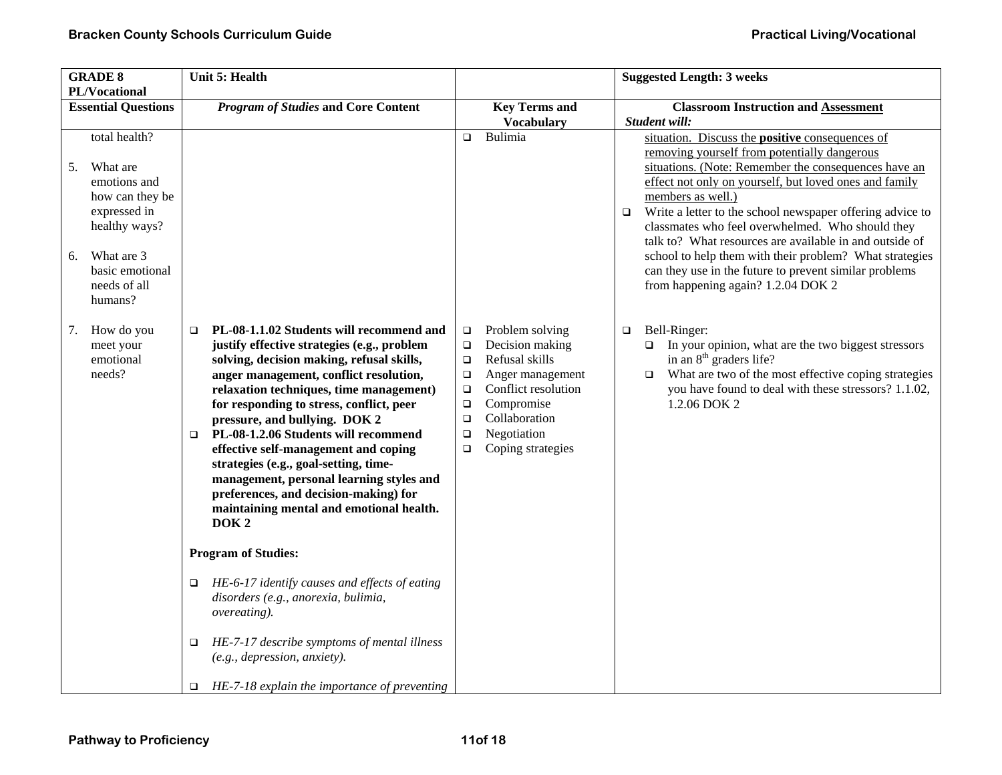| <b>GRADE 8</b>                                                                                                                                                        | <b>Unit 5: Health</b>                                                                                                                                                                                                                                                                                                                                                                                                                                                                                                                                                                | <b>Suggested Length: 3 weeks</b>                                                                                                                                                                                                                             |                                                                                                                                                                                                                                                                                                                                                                                                                                                                                                                                                                                                |
|-----------------------------------------------------------------------------------------------------------------------------------------------------------------------|--------------------------------------------------------------------------------------------------------------------------------------------------------------------------------------------------------------------------------------------------------------------------------------------------------------------------------------------------------------------------------------------------------------------------------------------------------------------------------------------------------------------------------------------------------------------------------------|--------------------------------------------------------------------------------------------------------------------------------------------------------------------------------------------------------------------------------------------------------------|------------------------------------------------------------------------------------------------------------------------------------------------------------------------------------------------------------------------------------------------------------------------------------------------------------------------------------------------------------------------------------------------------------------------------------------------------------------------------------------------------------------------------------------------------------------------------------------------|
| PL/Vocational                                                                                                                                                         |                                                                                                                                                                                                                                                                                                                                                                                                                                                                                                                                                                                      |                                                                                                                                                                                                                                                              |                                                                                                                                                                                                                                                                                                                                                                                                                                                                                                                                                                                                |
| <b>Essential Questions</b>                                                                                                                                            | <b>Program of Studies and Core Content</b>                                                                                                                                                                                                                                                                                                                                                                                                                                                                                                                                           | <b>Key Terms and</b><br><b>Vocabulary</b>                                                                                                                                                                                                                    | <b>Classroom Instruction and Assessment</b><br>Student will:                                                                                                                                                                                                                                                                                                                                                                                                                                                                                                                                   |
| total health?<br>What are<br>5.<br>emotions and<br>how can they be<br>expressed in<br>healthy ways?<br>What are 3<br>6.<br>basic emotional<br>needs of all<br>humans? |                                                                                                                                                                                                                                                                                                                                                                                                                                                                                                                                                                                      | Bulimia<br>$\Box$                                                                                                                                                                                                                                            | situation. Discuss the <b>positive</b> consequences of<br>removing yourself from potentially dangerous<br>situations. (Note: Remember the consequences have an<br>effect not only on yourself, but loved ones and family<br>members as well.)<br>Write a letter to the school newspaper offering advice to<br>$\Box$<br>classmates who feel overwhelmed. Who should they<br>talk to? What resources are available in and outside of<br>school to help them with their problem? What strategies<br>can they use in the future to prevent similar problems<br>from happening again? 1.2.04 DOK 2 |
| How do you<br>7.<br>$\Box$<br>meet your<br>emotional<br>needs?<br>$\Box$                                                                                              | PL-08-1.1.02 Students will recommend and<br>justify effective strategies (e.g., problem<br>solving, decision making, refusal skills,<br>anger management, conflict resolution,<br>relaxation techniques, time management)<br>for responding to stress, conflict, peer<br>pressure, and bullying. DOK 2<br>PL-08-1.2.06 Students will recommend<br>effective self-management and coping<br>strategies (e.g., goal-setting, time-<br>management, personal learning styles and<br>preferences, and decision-making) for<br>maintaining mental and emotional health.<br>DOK <sub>2</sub> | Problem solving<br>$\Box$<br>Decision making<br>$\Box$<br>Refusal skills<br>$\Box$<br>Anger management<br>$\Box$<br>Conflict resolution<br>$\Box$<br>Compromise<br>$\Box$<br>Collaboration<br>$\Box$<br>Negotiation<br>$\Box$<br>Coping strategies<br>$\Box$ | Bell-Ringer:<br>$\Box$<br>In your opinion, what are the two biggest stressors<br>$\Box$<br>in an $8th$ graders life?<br>What are two of the most effective coping strategies<br>$\Box$<br>you have found to deal with these stressors? 1.1.02,<br>1.2.06 DOK 2                                                                                                                                                                                                                                                                                                                                 |
| □                                                                                                                                                                     | <b>Program of Studies:</b><br>HE-6-17 identify causes and effects of eating                                                                                                                                                                                                                                                                                                                                                                                                                                                                                                          |                                                                                                                                                                                                                                                              |                                                                                                                                                                                                                                                                                                                                                                                                                                                                                                                                                                                                |
| □                                                                                                                                                                     | disorders (e.g., anorexia, bulimia,<br>overeating).<br>HE-7-17 describe symptoms of mental illness                                                                                                                                                                                                                                                                                                                                                                                                                                                                                   |                                                                                                                                                                                                                                                              |                                                                                                                                                                                                                                                                                                                                                                                                                                                                                                                                                                                                |
| $\Box$                                                                                                                                                                | (e.g., depression, anxiety).<br>HE-7-18 explain the importance of preventing                                                                                                                                                                                                                                                                                                                                                                                                                                                                                                         |                                                                                                                                                                                                                                                              |                                                                                                                                                                                                                                                                                                                                                                                                                                                                                                                                                                                                |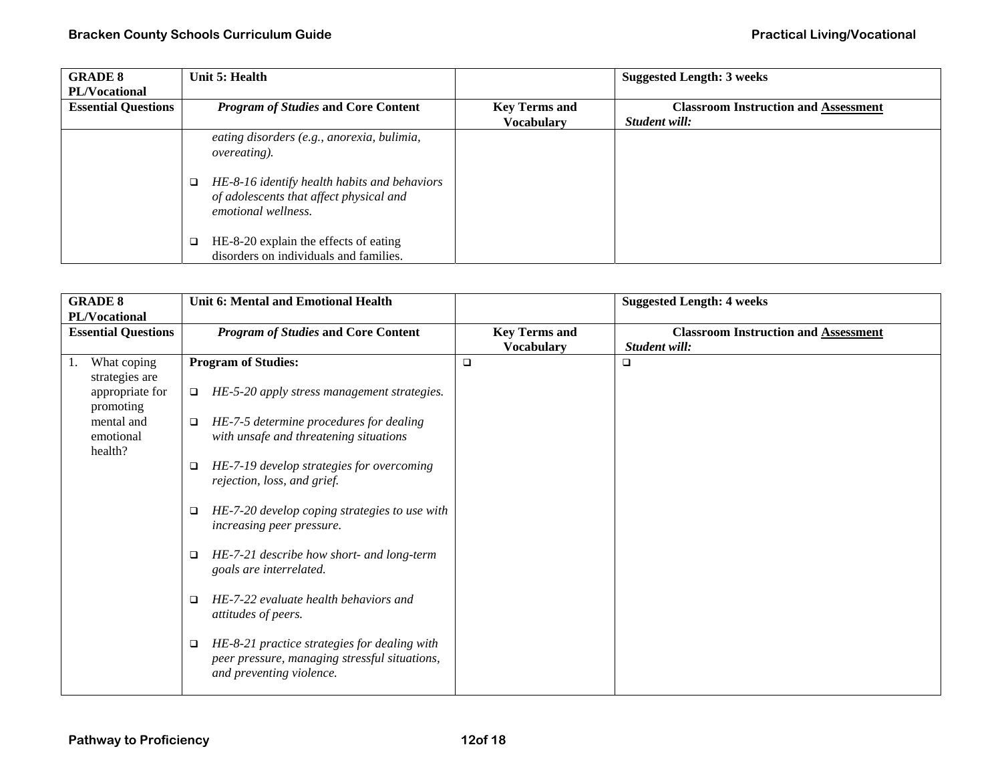| <b>GRADE 8</b>             | Unit 5: Health                                                                                                                                                                       |                      | <b>Suggested Length: 3 weeks</b>            |
|----------------------------|--------------------------------------------------------------------------------------------------------------------------------------------------------------------------------------|----------------------|---------------------------------------------|
| <b>PL/Vocational</b>       |                                                                                                                                                                                      |                      |                                             |
| <b>Essential Questions</b> | <b>Program of Studies and Core Content</b>                                                                                                                                           | <b>Key Terms and</b> | <b>Classroom Instruction and Assessment</b> |
|                            |                                                                                                                                                                                      | <b>Vocabulary</b>    | Student will:                               |
|                            | eating disorders (e.g., anorexia, bulimia,<br><i>overeating</i> ).<br>HE-8-16 identify health habits and behaviors<br>of adolescents that affect physical and<br>emotional wellness. |                      |                                             |
|                            | HE-8-20 explain the effects of eating<br>disorders on individuals and families.                                                                                                      |                      |                                             |

| <b>GRADE 8</b><br>PL/Vocational |                                    | <b>Unit 6: Mental and Emotional Health</b>                                                                                     |                                           | <b>Suggested Length: 4 weeks</b>                             |
|---------------------------------|------------------------------------|--------------------------------------------------------------------------------------------------------------------------------|-------------------------------------------|--------------------------------------------------------------|
| <b>Essential Questions</b>      |                                    | <b>Program of Studies and Core Content</b>                                                                                     | <b>Key Terms and</b><br><b>Vocabulary</b> | <b>Classroom Instruction and Assessment</b><br>Student will: |
|                                 | What coping<br>strategies are      | <b>Program of Studies:</b>                                                                                                     | $\Box$                                    | □                                                            |
|                                 | appropriate for<br>promoting       | HE-5-20 apply stress management strategies.<br>$\Box$                                                                          |                                           |                                                              |
|                                 | mental and<br>emotional<br>health? | HE-7-5 determine procedures for dealing<br>□<br>with unsafe and threatening situations                                         |                                           |                                                              |
|                                 |                                    | HE-7-19 develop strategies for overcoming<br>□<br>rejection, loss, and grief.                                                  |                                           |                                                              |
|                                 |                                    | HE-7-20 develop coping strategies to use with<br>$\Box$<br>increasing peer pressure.                                           |                                           |                                                              |
|                                 |                                    | HE-7-21 describe how short- and long-term<br>$\Box$<br>goals are interrelated.                                                 |                                           |                                                              |
|                                 |                                    | HE-7-22 evaluate health behaviors and<br>□<br>attitudes of peers.                                                              |                                           |                                                              |
|                                 |                                    | HE-8-21 practice strategies for dealing with<br>❏<br>peer pressure, managing stressful situations,<br>and preventing violence. |                                           |                                                              |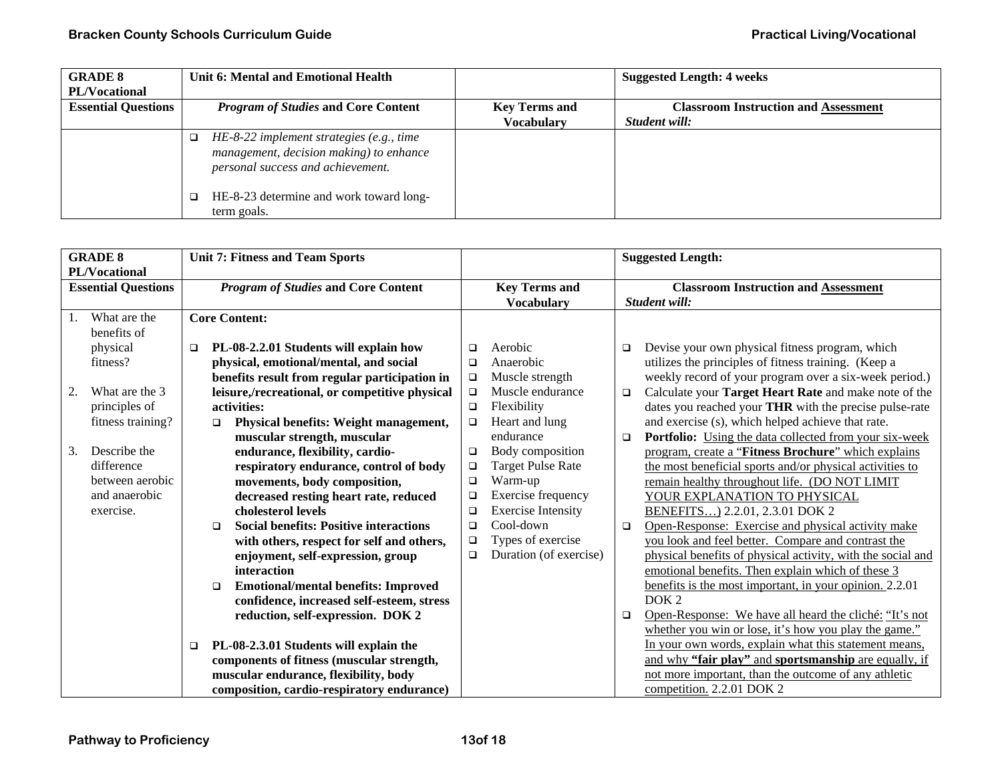| <b>GRADE 8</b>             | Unit 6: Mental and Emotional Health                                                                                         |                      | <b>Suggested Length: 4 weeks</b>            |
|----------------------------|-----------------------------------------------------------------------------------------------------------------------------|----------------------|---------------------------------------------|
| <b>PL/Vocational</b>       |                                                                                                                             |                      |                                             |
| <b>Essential Questions</b> | <b>Program of Studies and Core Content</b>                                                                                  | <b>Key Terms and</b> | <b>Classroom Instruction and Assessment</b> |
|                            |                                                                                                                             | <b>Vocabulary</b>    | Student will:                               |
|                            | $HE$ -8-22 implement strategies (e.g., time<br>management, decision making) to enhance<br>personal success and achievement. |                      |                                             |
|                            | HE-8-23 determine and work toward long-<br>term goals.                                                                      |                      |                                             |

| <b>GRADE 8</b><br>PL/Vocational |                                                                             |                                            |                  | <b>Unit 7: Fitness and Team Sports</b>                                                                                                                                                       |                                      |                                                                                                     |        | <b>Suggested Length:</b>                                                                                                                                                                                                                                                                |
|---------------------------------|-----------------------------------------------------------------------------|--------------------------------------------|------------------|----------------------------------------------------------------------------------------------------------------------------------------------------------------------------------------------|--------------------------------------|-----------------------------------------------------------------------------------------------------|--------|-----------------------------------------------------------------------------------------------------------------------------------------------------------------------------------------------------------------------------------------------------------------------------------------|
| <b>Essential Questions</b>      |                                                                             | <b>Program of Studies and Core Content</b> |                  | <b>Key Terms and</b>                                                                                                                                                                         |                                      | <b>Classroom Instruction and Assessment</b>                                                         |        |                                                                                                                                                                                                                                                                                         |
| 1.                              | What are the                                                                |                                            |                  | <b>Core Content:</b>                                                                                                                                                                         |                                      | <b>Vocabulary</b>                                                                                   |        | Student will:                                                                                                                                                                                                                                                                           |
|                                 | benefits of<br>physical<br>fitness?                                         | $\Box$                                     |                  | PL-08-2.2.01 Students will explain how<br>physical, emotional/mental, and social<br>benefits result from regular participation in                                                            | □<br>$\Box$<br>$\Box$                | Aerobic<br>Anaerobic<br>Muscle strength                                                             | □      | Devise your own physical fitness program, which<br>utilizes the principles of fitness training. (Keep a<br>weekly record of your program over a six-week period.)                                                                                                                       |
| 2.                              | What are the 3<br>principles of<br>fitness training?                        |                                            | $\Box$           | leisure,/recreational, or competitive physical<br>activities:<br>Physical benefits: Weight management,<br>muscular strength, muscular                                                        | $\Box$<br>$\Box$<br>$\Box$           | Muscle endurance<br>Flexibility<br>Heart and lung<br>endurance                                      | □<br>□ | Calculate your Target Heart Rate and make note of the<br>dates you reached your THR with the precise pulse-rate<br>and exercise (s), which helped achieve that rate.<br><b>Portfolio:</b> Using the data collected from your six-week                                                   |
| 3.                              | Describe the<br>difference<br>between aerobic<br>and anaerobic<br>exercise. |                                            |                  | endurance, flexibility, cardio-<br>respiratory endurance, control of body<br>movements, body composition,<br>decreased resting heart rate, reduced<br>cholesterol levels                     | $\Box$<br>$\Box$<br>$\Box$<br>□<br>□ | Body composition<br>Target Pulse Rate<br>Warm-up<br>Exercise frequency<br><b>Exercise Intensity</b> |        | program, create a "Fitness Brochure" which explains<br>the most beneficial sports and/or physical activities to<br>remain healthy throughout life. (DO NOT LIMIT<br>YOUR EXPLANATION TO PHYSICAL<br>BENEFITS 2.2.01, 2.3.01 DOK 2                                                       |
|                                 |                                                                             |                                            | $\Box$<br>$\Box$ | <b>Social benefits: Positive interactions</b><br>with others, respect for self and others,<br>enjoyment, self-expression, group<br>interaction<br><b>Emotional/mental benefits: Improved</b> | $\Box$<br>$\Box$<br>$\Box$           | Cool-down<br>Types of exercise<br>Duration (of exercise)                                            | $\Box$ | Open-Response: Exercise and physical activity make<br>you look and feel better. Compare and contrast the<br>physical benefits of physical activity, with the social and<br>emotional benefits. Then explain which of these 3<br>benefits is the most important, in your opinion. 2.2.01 |
|                                 |                                                                             | $\Box$                                     |                  | confidence, increased self-esteem, stress<br>reduction, self-expression. DOK 2<br>PL-08-2.3.01 Students will explain the<br>components of fitness (muscular strength,                        |                                      |                                                                                                     | □      | DOK <sub>2</sub><br>Open-Response: We have all heard the cliché: "It's not<br>whether you win or lose, it's how you play the game."<br>In your own words, explain what this statement means,<br>and why "fair play" and sportsmanship are equally, if                                   |
|                                 |                                                                             |                                            |                  | muscular endurance, flexibility, body<br>composition, cardio-respiratory endurance)                                                                                                          |                                      |                                                                                                     |        | not more important, than the outcome of any athletic<br>competition. 2.2.01 DOK 2                                                                                                                                                                                                       |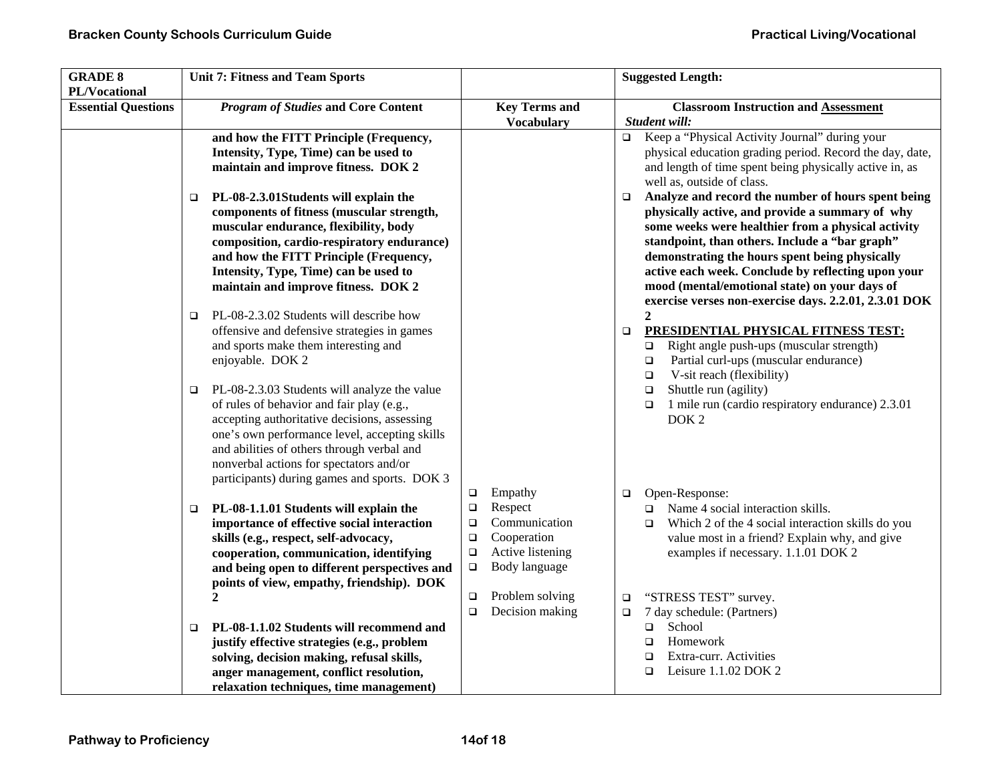| <b>GRADE 8</b><br>PL/Vocational | <b>Unit 7: Fitness and Team Sports</b>                                                                                                                                                                                                                                                                                              |                                                                                                                                                     | <b>Suggested Length:</b>                                                                                                                                                                                                                                                                                                                                                                                                                  |
|---------------------------------|-------------------------------------------------------------------------------------------------------------------------------------------------------------------------------------------------------------------------------------------------------------------------------------------------------------------------------------|-----------------------------------------------------------------------------------------------------------------------------------------------------|-------------------------------------------------------------------------------------------------------------------------------------------------------------------------------------------------------------------------------------------------------------------------------------------------------------------------------------------------------------------------------------------------------------------------------------------|
| <b>Essential Questions</b>      | <b>Program of Studies and Core Content</b>                                                                                                                                                                                                                                                                                          | <b>Key Terms and</b><br><b>Vocabulary</b>                                                                                                           | <b>Classroom Instruction and Assessment</b><br>Student will:                                                                                                                                                                                                                                                                                                                                                                              |
|                                 | and how the FITT Principle (Frequency,<br>Intensity, Type, Time) can be used to<br>maintain and improve fitness. DOK 2                                                                                                                                                                                                              |                                                                                                                                                     | Keep a "Physical Activity Journal" during your<br>$\Box$<br>physical education grading period. Record the day, date,<br>and length of time spent being physically active in, as<br>well as, outside of class.                                                                                                                                                                                                                             |
|                                 | PL-08-2.3.01Students will explain the<br>□<br>components of fitness (muscular strength,<br>muscular endurance, flexibility, body<br>composition, cardio-respiratory endurance)<br>and how the FITT Principle (Frequency,<br>Intensity, Type, Time) can be used to<br>maintain and improve fitness. DOK 2                            |                                                                                                                                                     | Analyze and record the number of hours spent being<br>$\Box$<br>physically active, and provide a summary of why<br>some weeks were healthier from a physical activity<br>standpoint, than others. Include a "bar graph"<br>demonstrating the hours spent being physically<br>active each week. Conclude by reflecting upon your<br>mood (mental/emotional state) on your days of<br>exercise verses non-exercise days. 2.2.01, 2.3.01 DOK |
|                                 | PL-08-2.3.02 Students will describe how<br>❏<br>offensive and defensive strategies in games<br>and sports make them interesting and<br>enjoyable. DOK 2                                                                                                                                                                             |                                                                                                                                                     | $\mathbf{2}$<br>PRESIDENTIAL PHYSICAL FITNESS TEST:<br>$\Box$<br>Right angle push-ups (muscular strength)<br>o.<br>Partial curl-ups (muscular endurance)<br>$\Box$<br>V-sit reach (flexibility)<br>$\Box$                                                                                                                                                                                                                                 |
|                                 | PL-08-2.3.03 Students will analyze the value<br>of rules of behavior and fair play (e.g.,<br>accepting authoritative decisions, assessing<br>one's own performance level, accepting skills<br>and abilities of others through verbal and<br>nonverbal actions for spectators and/or<br>participants) during games and sports. DOK 3 |                                                                                                                                                     | Shuttle run (agility)<br>$\Box$<br>1 mile run (cardio respiratory endurance) 2.3.01<br>$\Box$<br>DOK <sub>2</sub>                                                                                                                                                                                                                                                                                                                         |
|                                 | PL-08-1.1.01 Students will explain the<br>□<br>importance of effective social interaction<br>skills (e.g., respect, self-advocacy,<br>cooperation, communication, identifying<br>and being open to different perspectives and<br>points of view, empathy, friendship). DOK                                                          | Empathy<br>$\Box$<br>Respect<br>$\Box$<br>Communication<br>$\Box$<br>Cooperation<br>$\Box$<br>Active listening<br>$\Box$<br>Body language<br>$\Box$ | Open-Response:<br>$\Box$<br>$\Box$ Name 4 social interaction skills.<br>Which 2 of the 4 social interaction skills do you<br>$\Box$<br>value most in a friend? Explain why, and give<br>examples if necessary. 1.1.01 DOK 2                                                                                                                                                                                                               |
|                                 | $\mathbf{2}$<br>PL-08-1.1.02 Students will recommend and<br>justify effective strategies (e.g., problem<br>solving, decision making, refusal skills,<br>anger management, conflict resolution,<br>relaxation techniques, time management)                                                                                           | Problem solving<br>$\Box$<br>Decision making<br>$\Box$                                                                                              | "STRESS TEST" survey.<br>$\Box$<br>7 day schedule: (Partners)<br>$\Box$<br>School<br>$\Box$<br>Homework<br>$\Box$<br>Extra-curr. Activities<br>□<br>Leisure 1.1.02 DOK 2<br>$\Box$                                                                                                                                                                                                                                                        |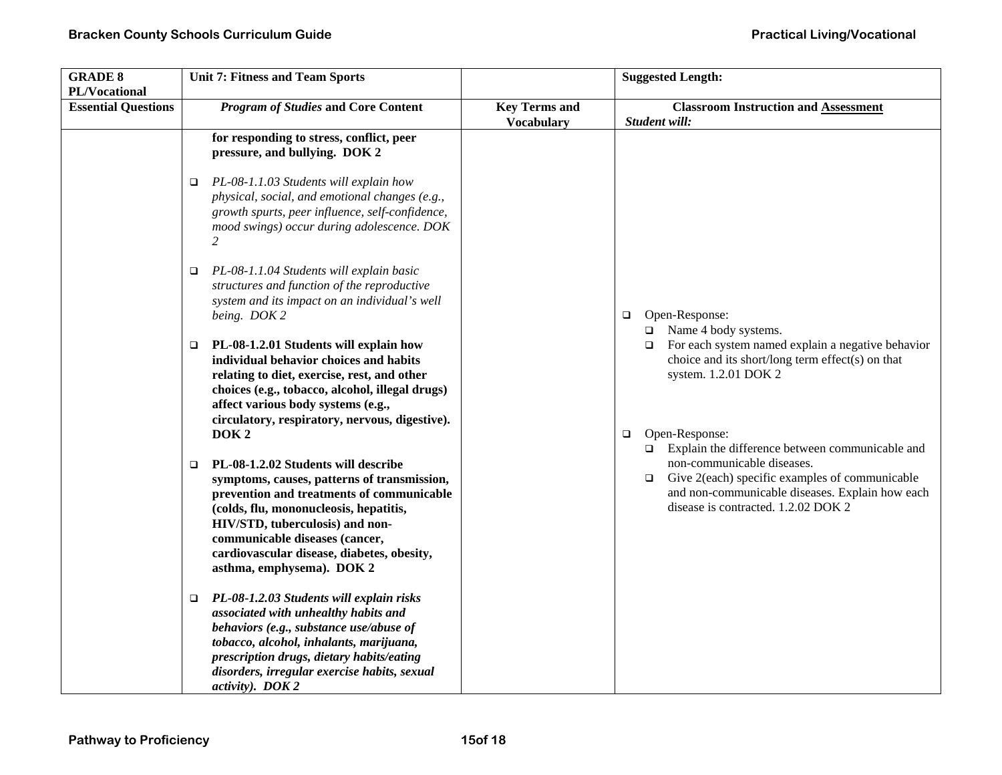| <b>GRADE 8</b><br>PL/Vocational | <b>Unit 7: Fitness and Team Sports</b>                                                                                                                                                                                                                                                                                                             |                                           | <b>Suggested Length:</b>                                                                                                                                                                                                                                                  |
|---------------------------------|----------------------------------------------------------------------------------------------------------------------------------------------------------------------------------------------------------------------------------------------------------------------------------------------------------------------------------------------------|-------------------------------------------|---------------------------------------------------------------------------------------------------------------------------------------------------------------------------------------------------------------------------------------------------------------------------|
| <b>Essential Questions</b>      | <b>Program of Studies and Core Content</b>                                                                                                                                                                                                                                                                                                         | <b>Key Terms and</b><br><b>Vocabulary</b> | <b>Classroom Instruction and Assessment</b><br>Student will:                                                                                                                                                                                                              |
|                                 | for responding to stress, conflict, peer<br>pressure, and bullying. DOK 2                                                                                                                                                                                                                                                                          |                                           |                                                                                                                                                                                                                                                                           |
|                                 | PL-08-1.1.03 Students will explain how<br>□<br>physical, social, and emotional changes (e.g.,<br>growth spurts, peer influence, self-confidence,<br>mood swings) occur during adolescence. DOK<br>$\overline{2}$                                                                                                                                   |                                           |                                                                                                                                                                                                                                                                           |
|                                 | PL-08-1.1.04 Students will explain basic<br>$\Box$<br>structures and function of the reproductive<br>system and its impact on an individual's well<br>being. DOK 2                                                                                                                                                                                 |                                           | Open-Response:<br>$\Box$<br>$\Box$ Name 4 body systems.                                                                                                                                                                                                                   |
|                                 | PL-08-1.2.01 Students will explain how<br>□<br>individual behavior choices and habits<br>relating to diet, exercise, rest, and other<br>choices (e.g., tobacco, alcohol, illegal drugs)<br>affect various body systems (e.g.,<br>circulatory, respiratory, nervous, digestive).                                                                    |                                           | $\Box$ For each system named explain a negative behavior<br>choice and its short/long term effect(s) on that<br>system. 1.2.01 DOK 2                                                                                                                                      |
|                                 | DOK <sub>2</sub><br>PL-08-1.2.02 Students will describe<br>□<br>symptoms, causes, patterns of transmission,<br>prevention and treatments of communicable<br>(colds, flu, mononucleosis, hepatitis,<br>HIV/STD, tuberculosis) and non-<br>communicable diseases (cancer,<br>cardiovascular disease, diabetes, obesity,<br>asthma, emphysema). DOK 2 |                                           | Open-Response:<br>$\Box$<br>$\square$ Explain the difference between communicable and<br>non-communicable diseases.<br>Give 2(each) specific examples of communicable<br>$\Box$<br>and non-communicable diseases. Explain how each<br>disease is contracted. 1.2.02 DOK 2 |
|                                 | PL-08-1.2.03 Students will explain risks<br>□<br>associated with unhealthy habits and<br>behaviors (e.g., substance use/abuse of<br>tobacco, alcohol, inhalants, marijuana,<br>prescription drugs, dietary habits/eating<br>disorders, irregular exercise habits, sexual<br>activity). DOK 2                                                       |                                           |                                                                                                                                                                                                                                                                           |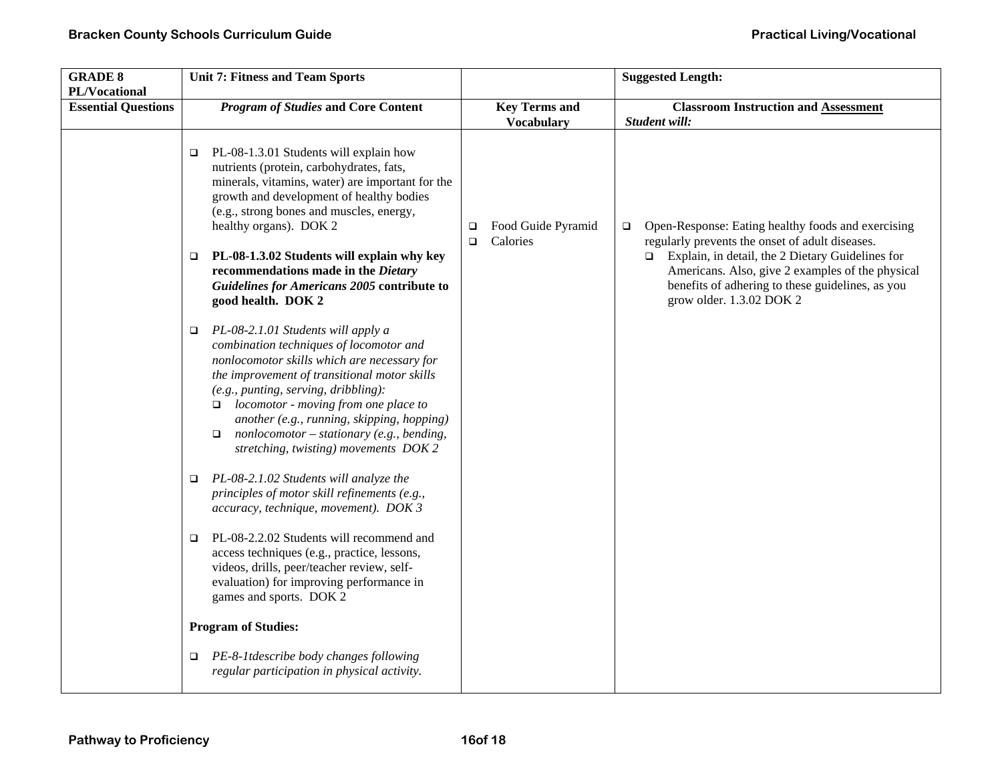| <b>GRADE 8</b><br>PL/Vocational | <b>Unit 7: Fitness and Team Sports</b>                                                                                                                                                                                                                                                                                                                                                                                            |                                               | <b>Suggested Length:</b>                                                                                                                                                                                                                                                                                       |
|---------------------------------|-----------------------------------------------------------------------------------------------------------------------------------------------------------------------------------------------------------------------------------------------------------------------------------------------------------------------------------------------------------------------------------------------------------------------------------|-----------------------------------------------|----------------------------------------------------------------------------------------------------------------------------------------------------------------------------------------------------------------------------------------------------------------------------------------------------------------|
| <b>Essential Questions</b>      | <b>Program of Studies and Core Content</b>                                                                                                                                                                                                                                                                                                                                                                                        | <b>Key Terms and</b><br><b>Vocabulary</b>     | <b>Classroom Instruction and Assessment</b><br>Student will:                                                                                                                                                                                                                                                   |
|                                 | PL-08-1.3.01 Students will explain how<br>$\Box$<br>nutrients (protein, carbohydrates, fats,<br>minerals, vitamins, water) are important for the<br>growth and development of healthy bodies<br>(e.g., strong bones and muscles, energy,<br>healthy organs). DOK 2<br>PL-08-1.3.02 Students will explain why key<br>o<br>recommendations made in the Dietary<br>Guidelines for Americans 2005 contribute to<br>good health. DOK 2 | Food Guide Pyramid<br>□<br>Calories<br>$\Box$ | Open-Response: Eating healthy foods and exercising<br>$\Box$<br>regularly prevents the onset of adult diseases.<br>$\Box$ Explain, in detail, the 2 Dietary Guidelines for<br>Americans. Also, give 2 examples of the physical<br>benefits of adhering to these guidelines, as you<br>grow older. 1.3.02 DOK 2 |
|                                 | PL-08-2.1.01 Students will apply a<br>o.<br>combination techniques of locomotor and<br>nonlocomotor skills which are necessary for<br>the improvement of transitional motor skills<br>(e.g., punting, serving, dribbling):<br>locomotor - moving from one place to<br>$\Box$<br>another (e.g., running, skipping, hopping)<br>$nonlocomotor - stationary (e.g., bending,$<br>$\Box$<br>stretching, twisting) movements DOK 2      |                                               |                                                                                                                                                                                                                                                                                                                |
|                                 | PL-08-2.1.02 Students will analyze the<br>$\Box$<br>principles of motor skill refinements (e.g.,<br>accuracy, technique, movement). DOK 3                                                                                                                                                                                                                                                                                         |                                               |                                                                                                                                                                                                                                                                                                                |
|                                 | PL-08-2.2.02 Students will recommend and<br>$\Box$<br>access techniques (e.g., practice, lessons,<br>videos, drills, peer/teacher review, self-<br>evaluation) for improving performance in<br>games and sports. DOK 2                                                                                                                                                                                                            |                                               |                                                                                                                                                                                                                                                                                                                |
|                                 | <b>Program of Studies:</b>                                                                                                                                                                                                                                                                                                                                                                                                        |                                               |                                                                                                                                                                                                                                                                                                                |
|                                 | PE-8-1 tdescribe body changes following<br>$\Box$<br>regular participation in physical activity.                                                                                                                                                                                                                                                                                                                                  |                                               |                                                                                                                                                                                                                                                                                                                |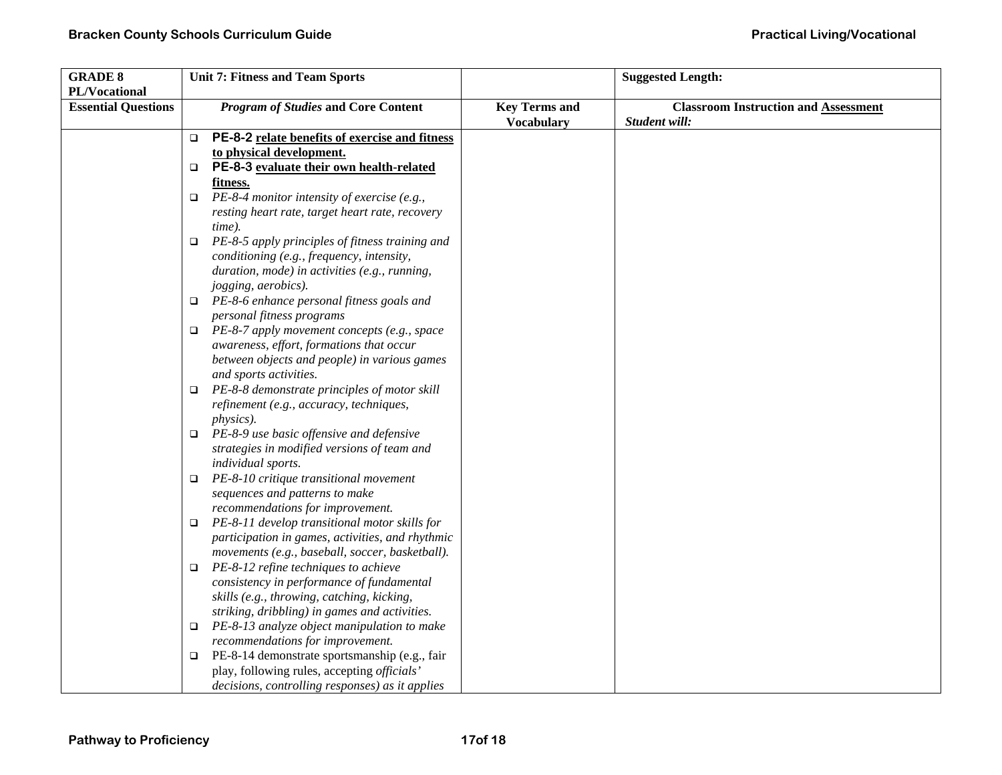| <b>GRADE 8</b>             | <b>Unit 7: Fitness and Team Sports</b>                                                         |                      | <b>Suggested Length:</b>                    |
|----------------------------|------------------------------------------------------------------------------------------------|----------------------|---------------------------------------------|
| PL/Vocational              |                                                                                                |                      |                                             |
| <b>Essential Questions</b> | <b>Program of Studies and Core Content</b>                                                     | <b>Key Terms and</b> | <b>Classroom Instruction and Assessment</b> |
|                            |                                                                                                | <b>Vocabulary</b>    | Student will:                               |
|                            | PE-8-2 relate benefits of exercise and fitness<br>□                                            |                      |                                             |
|                            | to physical development.                                                                       |                      |                                             |
|                            | PE-8-3 evaluate their own health-related<br>❏                                                  |                      |                                             |
|                            | fitness.                                                                                       |                      |                                             |
|                            | PE-8-4 monitor intensity of exercise (e.g.,<br>$\Box$                                          |                      |                                             |
|                            | resting heart rate, target heart rate, recovery                                                |                      |                                             |
|                            | time).                                                                                         |                      |                                             |
|                            | PE-8-5 apply principles of fitness training and<br>$\Box$                                      |                      |                                             |
|                            | conditioning (e.g., frequency, intensity,                                                      |                      |                                             |
|                            | duration, mode) in activities (e.g., running,                                                  |                      |                                             |
|                            | jogging, aerobics).                                                                            |                      |                                             |
|                            | $\Box$ PE-8-6 enhance personal fitness goals and                                               |                      |                                             |
|                            | personal fitness programs                                                                      |                      |                                             |
|                            | $\Box$ PE-8-7 apply movement concepts (e.g., space                                             |                      |                                             |
|                            | awareness, effort, formations that occur                                                       |                      |                                             |
|                            | between objects and people) in various games                                                   |                      |                                             |
|                            | and sports activities.                                                                         |                      |                                             |
|                            | PE-8-8 demonstrate principles of motor skill<br>□                                              |                      |                                             |
|                            | refinement (e.g., accuracy, techniques,                                                        |                      |                                             |
|                            | <i>physics</i> ).                                                                              |                      |                                             |
|                            | PE-8-9 use basic offensive and defensive<br>$\Box$                                             |                      |                                             |
|                            | strategies in modified versions of team and                                                    |                      |                                             |
|                            | individual sports.                                                                             |                      |                                             |
|                            | PE-8-10 critique transitional movement<br>$\Box$                                               |                      |                                             |
|                            | sequences and patterns to make                                                                 |                      |                                             |
|                            | recommendations for improvement.                                                               |                      |                                             |
|                            | PE-8-11 develop transitional motor skills for<br>$\Box$                                        |                      |                                             |
|                            | participation in games, activities, and rhythmic                                               |                      |                                             |
|                            | movements (e.g., baseball, soccer, basketball).<br>$\Box$ PE-8-12 refine techniques to achieve |                      |                                             |
|                            | consistency in performance of fundamental                                                      |                      |                                             |
|                            | skills (e.g., throwing, catching, kicking,                                                     |                      |                                             |
|                            | striking, dribbling) in games and activities.                                                  |                      |                                             |
|                            | PE-8-13 analyze object manipulation to make<br>□                                               |                      |                                             |
|                            | recommendations for improvement.                                                               |                      |                                             |
|                            | PE-8-14 demonstrate sportsmanship (e.g., fair<br>□                                             |                      |                                             |
|                            | play, following rules, accepting officials'                                                    |                      |                                             |
|                            | decisions, controlling responses) as it applies                                                |                      |                                             |